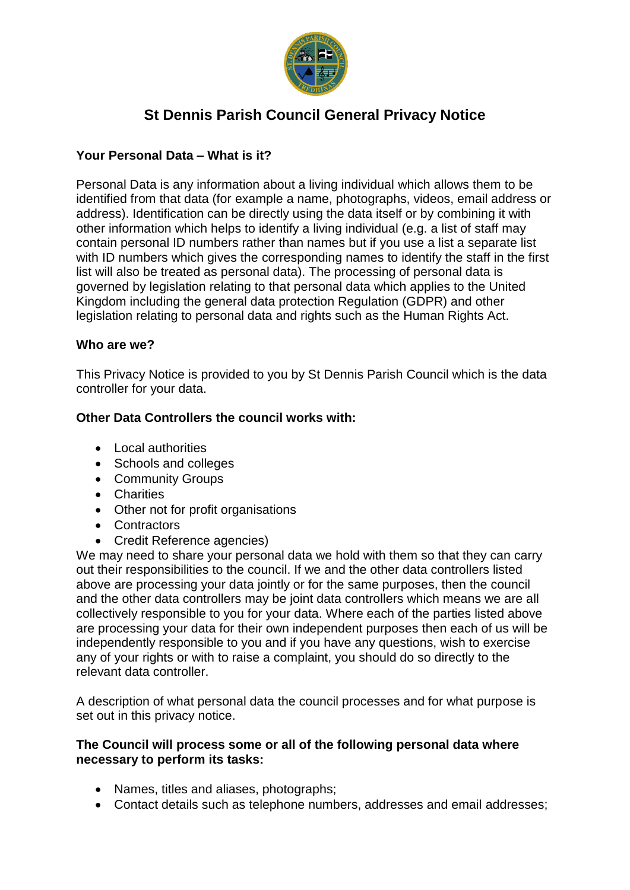

# **St Dennis Parish Council General Privacy Notice**

# **Your Personal Data – What is it?**

Personal Data is any information about a living individual which allows them to be identified from that data (for example a name, photographs, videos, email address or address). Identification can be directly using the data itself or by combining it with other information which helps to identify a living individual (e.g. a list of staff may contain personal ID numbers rather than names but if you use a list a separate list with ID numbers which gives the corresponding names to identify the staff in the first list will also be treated as personal data). The processing of personal data is governed by legislation relating to that personal data which applies to the United Kingdom including the general data protection Regulation (GDPR) and other legislation relating to personal data and rights such as the Human Rights Act.

## **Who are we?**

This Privacy Notice is provided to you by St Dennis Parish Council which is the data controller for your data.

# **Other Data Controllers the council works with:**

- Local authorities
- Schools and colleges
- Community Groups
- Charities
- Other not for profit organisations
- Contractors
- Credit Reference agencies)

We may need to share your personal data we hold with them so that they can carry out their responsibilities to the council. If we and the other data controllers listed above are processing your data jointly or for the same purposes, then the council and the other data controllers may be joint data controllers which means we are all collectively responsible to you for your data. Where each of the parties listed above are processing your data for their own independent purposes then each of us will be independently responsible to you and if you have any questions, wish to exercise any of your rights or with to raise a complaint, you should do so directly to the relevant data controller.

A description of what personal data the council processes and for what purpose is set out in this privacy notice.

## **The Council will process some or all of the following personal data where necessary to perform its tasks:**

- Names, titles and aliases, photographs;
- Contact details such as telephone numbers, addresses and email addresses;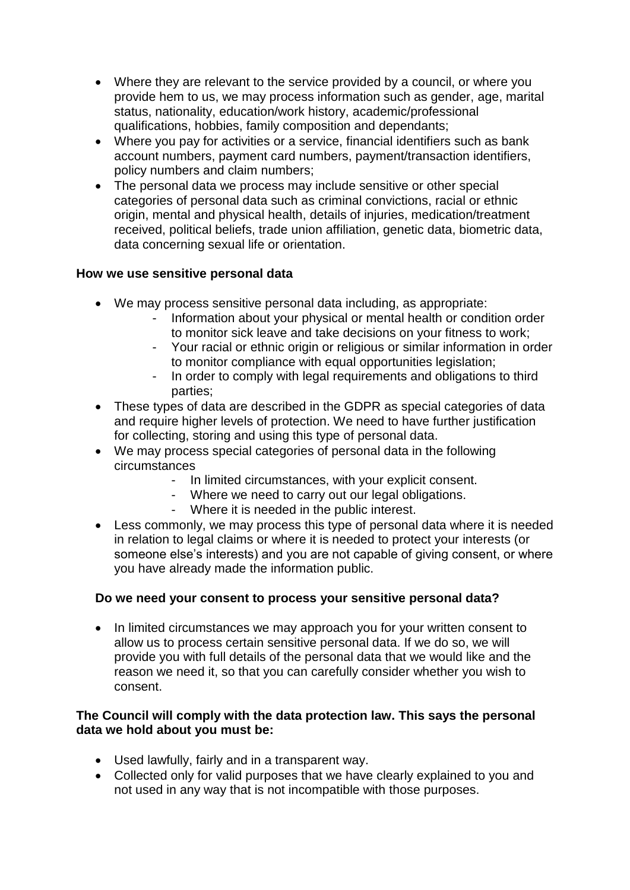- Where they are relevant to the service provided by a council, or where you provide hem to us, we may process information such as gender, age, marital status, nationality, education/work history, academic/professional qualifications, hobbies, family composition and dependants;
- Where you pay for activities or a service, financial identifiers such as bank account numbers, payment card numbers, payment/transaction identifiers, policy numbers and claim numbers;
- The personal data we process may include sensitive or other special categories of personal data such as criminal convictions, racial or ethnic origin, mental and physical health, details of injuries, medication/treatment received, political beliefs, trade union affiliation, genetic data, biometric data, data concerning sexual life or orientation.

# **How we use sensitive personal data**

- We may process sensitive personal data including, as appropriate:
	- Information about your physical or mental health or condition order to monitor sick leave and take decisions on your fitness to work;
	- Your racial or ethnic origin or religious or similar information in order to monitor compliance with equal opportunities legislation;
	- In order to comply with legal requirements and obligations to third parties;
- These types of data are described in the GDPR as special categories of data and require higher levels of protection. We need to have further justification for collecting, storing and using this type of personal data.
- We may process special categories of personal data in the following circumstances
	- In limited circumstances, with your explicit consent.
	- Where we need to carry out our legal obligations.
	- Where it is needed in the public interest.
- Less commonly, we may process this type of personal data where it is needed in relation to legal claims or where it is needed to protect your interests (or someone else's interests) and you are not capable of giving consent, or where you have already made the information public.

#### **Do we need your consent to process your sensitive personal data?**

• In limited circumstances we may approach you for your written consent to allow us to process certain sensitive personal data. If we do so, we will provide you with full details of the personal data that we would like and the reason we need it, so that you can carefully consider whether you wish to consent.

## **The Council will comply with the data protection law. This says the personal data we hold about you must be:**

- Used lawfully, fairly and in a transparent way.
- Collected only for valid purposes that we have clearly explained to you and not used in any way that is not incompatible with those purposes.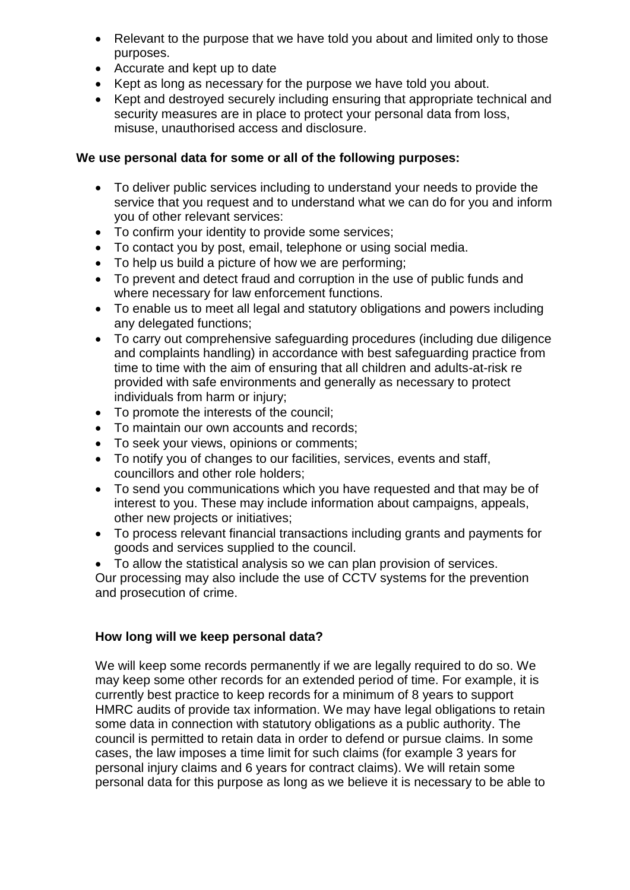- Relevant to the purpose that we have told you about and limited only to those purposes.
- Accurate and kept up to date
- Kept as long as necessary for the purpose we have told you about.
- Kept and destroyed securely including ensuring that appropriate technical and security measures are in place to protect your personal data from loss, misuse, unauthorised access and disclosure.

## **We use personal data for some or all of the following purposes:**

- To deliver public services including to understand your needs to provide the service that you request and to understand what we can do for you and inform you of other relevant services:
- To confirm your identity to provide some services;
- To contact you by post, email, telephone or using social media.
- To help us build a picture of how we are performing;
- To prevent and detect fraud and corruption in the use of public funds and where necessary for law enforcement functions.
- To enable us to meet all legal and statutory obligations and powers including any delegated functions;
- To carry out comprehensive safeguarding procedures (including due diligence and complaints handling) in accordance with best safeguarding practice from time to time with the aim of ensuring that all children and adults-at-risk re provided with safe environments and generally as necessary to protect individuals from harm or injury;
- To promote the interests of the council;
- To maintain our own accounts and records;
- To seek your views, opinions or comments;
- To notify you of changes to our facilities, services, events and staff, councillors and other role holders;
- To send you communications which you have requested and that may be of interest to you. These may include information about campaigns, appeals, other new projects or initiatives;
- To process relevant financial transactions including grants and payments for goods and services supplied to the council.
- To allow the statistical analysis so we can plan provision of services.

Our processing may also include the use of CCTV systems for the prevention and prosecution of crime.

# **How long will we keep personal data?**

We will keep some records permanently if we are legally required to do so. We may keep some other records for an extended period of time. For example, it is currently best practice to keep records for a minimum of 8 years to support HMRC audits of provide tax information. We may have legal obligations to retain some data in connection with statutory obligations as a public authority. The council is permitted to retain data in order to defend or pursue claims. In some cases, the law imposes a time limit for such claims (for example 3 years for personal injury claims and 6 years for contract claims). We will retain some personal data for this purpose as long as we believe it is necessary to be able to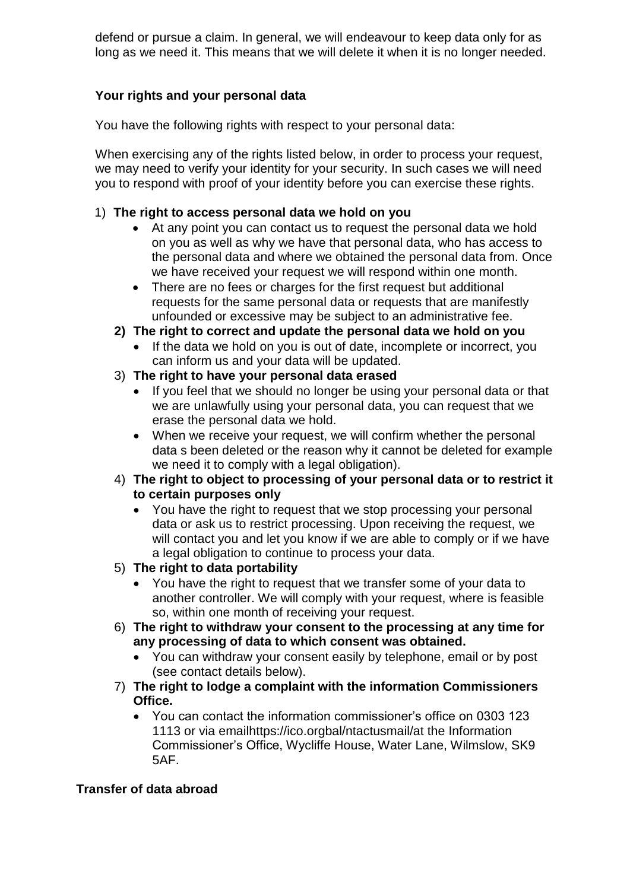defend or pursue a claim. In general, we will endeavour to keep data only for as long as we need it. This means that we will delete it when it is no longer needed.

# **Your rights and your personal data**

You have the following rights with respect to your personal data:

When exercising any of the rights listed below, in order to process your request, we may need to verify your identity for your security. In such cases we will need you to respond with proof of your identity before you can exercise these rights.

## 1) **The right to access personal data we hold on you**

- At any point you can contact us to request the personal data we hold on you as well as why we have that personal data, who has access to the personal data and where we obtained the personal data from. Once we have received your request we will respond within one month.
- There are no fees or charges for the first request but additional requests for the same personal data or requests that are manifestly unfounded or excessive may be subject to an administrative fee.
- **2) The right to correct and update the personal data we hold on you**
	- If the data we hold on you is out of date, incomplete or incorrect, you can inform us and your data will be updated.
- 3) **The right to have your personal data erased**
	- If you feel that we should no longer be using your personal data or that we are unlawfully using your personal data, you can request that we erase the personal data we hold.
	- When we receive your request, we will confirm whether the personal data s been deleted or the reason why it cannot be deleted for example we need it to comply with a legal obligation).
- 4) **The right to object to processing of your personal data or to restrict it to certain purposes only**
	- You have the right to request that we stop processing your personal data or ask us to restrict processing. Upon receiving the request, we will contact you and let you know if we are able to comply or if we have a legal obligation to continue to process your data.
- 5) **The right to data portability**
	- You have the right to request that we transfer some of your data to another controller. We will comply with your request, where is feasible so, within one month of receiving your request.
- 6) **The right to withdraw your consent to the processing at any time for any processing of data to which consent was obtained.**
	- You can withdraw your consent easily by telephone, email or by post (see contact details below).
- 7) **The right to lodge a complaint with the information Commissioners Office.**
	- You can contact the information commissioner's office on 0303 123 1113 or via emailhttps://ico.orgbal/ntactusmail/at the Information Commissioner's Office, Wycliffe House, Water Lane, Wilmslow, SK9 5AF.

# **Transfer of data abroad**